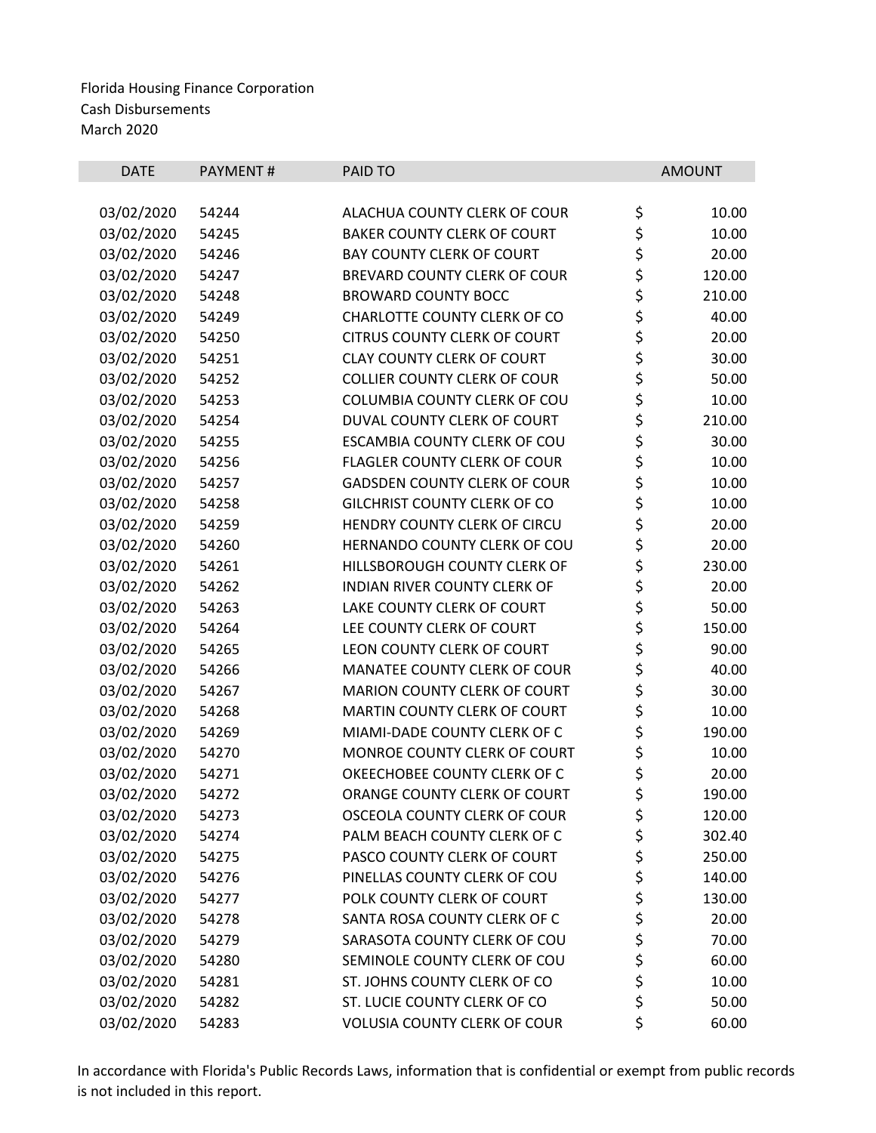| <b>DATE</b> | <b>PAYMENT#</b> | <b>PAID TO</b>                      |          | <b>AMOUNT</b> |
|-------------|-----------------|-------------------------------------|----------|---------------|
|             |                 |                                     |          |               |
| 03/02/2020  | 54244           | ALACHUA COUNTY CLERK OF COUR        | \$       | 10.00         |
| 03/02/2020  | 54245           | <b>BAKER COUNTY CLERK OF COURT</b>  | \$       | 10.00         |
| 03/02/2020  | 54246           | <b>BAY COUNTY CLERK OF COURT</b>    | \$<br>\$ | 20.00         |
| 03/02/2020  | 54247           | BREVARD COUNTY CLERK OF COUR        |          | 120.00        |
| 03/02/2020  | 54248           | <b>BROWARD COUNTY BOCC</b>          | \$       | 210.00        |
| 03/02/2020  | 54249           | CHARLOTTE COUNTY CLERK OF CO        | \$       | 40.00         |
| 03/02/2020  | 54250           | <b>CITRUS COUNTY CLERK OF COURT</b> | \$       | 20.00         |
| 03/02/2020  | 54251           | <b>CLAY COUNTY CLERK OF COURT</b>   | \$<br>\$ | 30.00         |
| 03/02/2020  | 54252           | <b>COLLIER COUNTY CLERK OF COUR</b> |          | 50.00         |
| 03/02/2020  | 54253           | COLUMBIA COUNTY CLERK OF COU        | \$       | 10.00         |
| 03/02/2020  | 54254           | DUVAL COUNTY CLERK OF COURT         | \$       | 210.00        |
| 03/02/2020  | 54255           | ESCAMBIA COUNTY CLERK OF COU        | \$<br>\$ | 30.00         |
| 03/02/2020  | 54256           | <b>FLAGLER COUNTY CLERK OF COUR</b> |          | 10.00         |
| 03/02/2020  | 54257           | <b>GADSDEN COUNTY CLERK OF COUR</b> | \$       | 10.00         |
| 03/02/2020  | 54258           | <b>GILCHRIST COUNTY CLERK OF CO</b> | \$<br>\$ | 10.00         |
| 03/02/2020  | 54259           | HENDRY COUNTY CLERK OF CIRCU        |          | 20.00         |
| 03/02/2020  | 54260           | HERNANDO COUNTY CLERK OF COU        | \$<br>\$ | 20.00         |
| 03/02/2020  | 54261           | HILLSBOROUGH COUNTY CLERK OF        |          | 230.00        |
| 03/02/2020  | 54262           | <b>INDIAN RIVER COUNTY CLERK OF</b> | \$       | 20.00         |
| 03/02/2020  | 54263           | LAKE COUNTY CLERK OF COURT          | \$<br>\$ | 50.00         |
| 03/02/2020  | 54264           | LEE COUNTY CLERK OF COURT           |          | 150.00        |
| 03/02/2020  | 54265           | LEON COUNTY CLERK OF COURT          |          | 90.00         |
| 03/02/2020  | 54266           | MANATEE COUNTY CLERK OF COUR        | \$\$\$   | 40.00         |
| 03/02/2020  | 54267           | <b>MARION COUNTY CLERK OF COURT</b> |          | 30.00         |
| 03/02/2020  | 54268           | MARTIN COUNTY CLERK OF COURT        | \$       | 10.00         |
| 03/02/2020  | 54269           | MIAMI-DADE COUNTY CLERK OF C        | \$       | 190.00        |
| 03/02/2020  | 54270           | MONROE COUNTY CLERK OF COURT        | \$       | 10.00         |
| 03/02/2020  | 54271           | OKEECHOBEE COUNTY CLERK OF C        | \$       | 20.00         |
| 03/02/2020  | 54272           | ORANGE COUNTY CLERK OF COURT        | \$       | 190.00        |
| 03/02/2020  | 54273           | <b>OSCEOLA COUNTY CLERK OF COUR</b> | \$       | 120.00        |
| 03/02/2020  | 54274           | PALM BEACH COUNTY CLERK OF C        | \$       | 302.40        |
| 03/02/2020  | 54275           | PASCO COUNTY CLERK OF COURT         | \$       | 250.00        |
| 03/02/2020  | 54276           | PINELLAS COUNTY CLERK OF COU        | \$       | 140.00        |
| 03/02/2020  | 54277           | POLK COUNTY CLERK OF COURT          | \$<br>\$ | 130.00        |
| 03/02/2020  | 54278           | SANTA ROSA COUNTY CLERK OF C        |          | 20.00         |
| 03/02/2020  | 54279           | SARASOTA COUNTY CLERK OF COU        | \$\$\$   | 70.00         |
| 03/02/2020  | 54280           | SEMINOLE COUNTY CLERK OF COU        |          | 60.00         |
| 03/02/2020  | 54281           | ST. JOHNS COUNTY CLERK OF CO        |          | 10.00         |
| 03/02/2020  | 54282           | ST. LUCIE COUNTY CLERK OF CO        | \$       | 50.00         |
| 03/02/2020  | 54283           | <b>VOLUSIA COUNTY CLERK OF COUR</b> | \$       | 60.00         |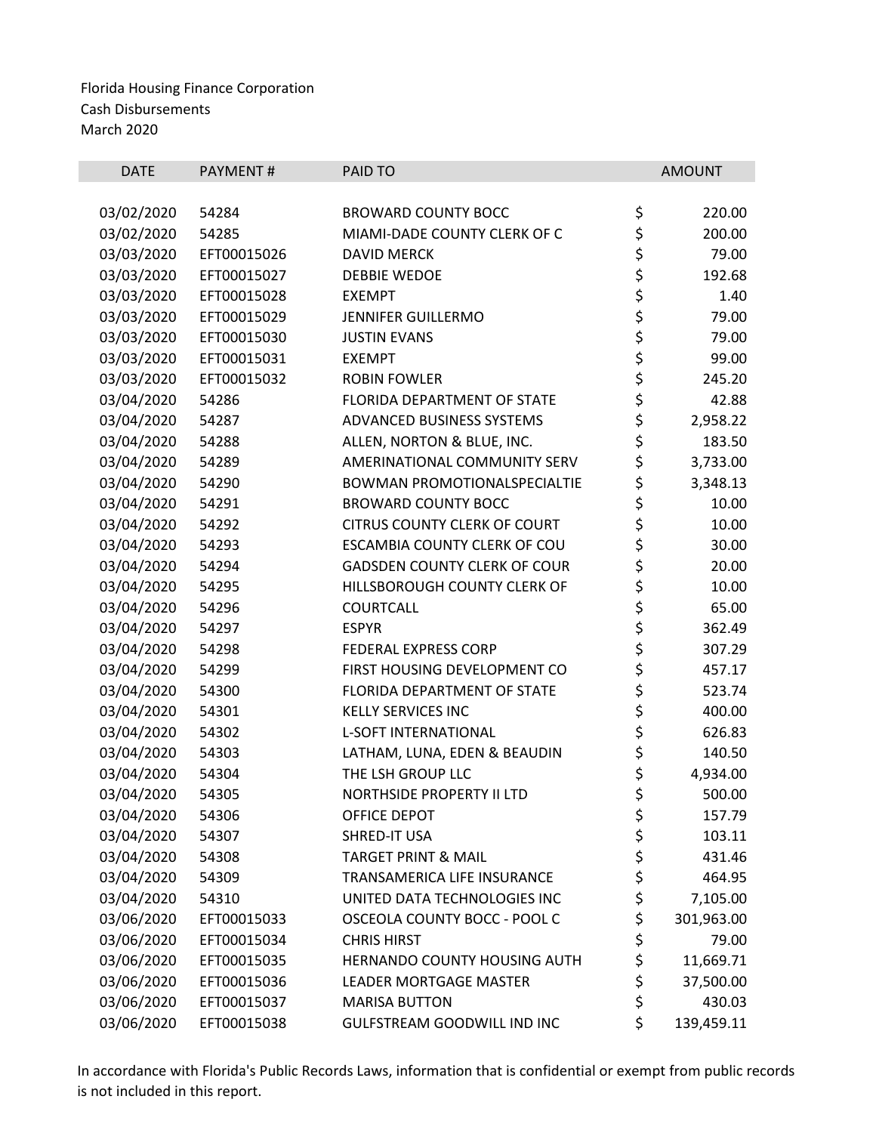| <b>DATE</b> | PAYMENT#    | PAID TO                             |             | <b>AMOUNT</b> |
|-------------|-------------|-------------------------------------|-------------|---------------|
| 03/02/2020  | 54284       | <b>BROWARD COUNTY BOCC</b>          | \$          | 220.00        |
| 03/02/2020  | 54285       | MIAMI-DADE COUNTY CLERK OF C        | \$          | 200.00        |
| 03/03/2020  | EFT00015026 | <b>DAVID MERCK</b>                  | \$          | 79.00         |
| 03/03/2020  | EFT00015027 | <b>DEBBIE WEDOE</b>                 | \$          | 192.68        |
| 03/03/2020  | EFT00015028 | <b>EXEMPT</b>                       |             | 1.40          |
| 03/03/2020  | EFT00015029 | <b>JENNIFER GUILLERMO</b>           | \$ \$ \$ \$ | 79.00         |
| 03/03/2020  | EFT00015030 | <b>JUSTIN EVANS</b>                 |             | 79.00         |
| 03/03/2020  | EFT00015031 | <b>EXEMPT</b>                       |             | 99.00         |
| 03/03/2020  | EFT00015032 | <b>ROBIN FOWLER</b>                 | \$          | 245.20        |
| 03/04/2020  | 54286       | FLORIDA DEPARTMENT OF STATE         | \$          | 42.88         |
| 03/04/2020  | 54287       | ADVANCED BUSINESS SYSTEMS           | \$          | 2,958.22      |
| 03/04/2020  | 54288       | ALLEN, NORTON & BLUE, INC.          | \$          | 183.50        |
| 03/04/2020  | 54289       | AMERINATIONAL COMMUNITY SERV        | \$          | 3,733.00      |
| 03/04/2020  | 54290       | <b>BOWMAN PROMOTIONALSPECIALTIE</b> | \$          | 3,348.13      |
| 03/04/2020  | 54291       | <b>BROWARD COUNTY BOCC</b>          | \$          | 10.00         |
| 03/04/2020  | 54292       | <b>CITRUS COUNTY CLERK OF COURT</b> |             | 10.00         |
| 03/04/2020  | 54293       | ESCAMBIA COUNTY CLERK OF COU        | \$<br>\$    | 30.00         |
| 03/04/2020  | 54294       | <b>GADSDEN COUNTY CLERK OF COUR</b> | \$          | 20.00         |
| 03/04/2020  | 54295       | HILLSBOROUGH COUNTY CLERK OF        | \$          | 10.00         |
| 03/04/2020  | 54296       | COURTCALL                           | \$          | 65.00         |
| 03/04/2020  | 54297       | <b>ESPYR</b>                        | \$          | 362.49        |
| 03/04/2020  | 54298       | <b>FEDERAL EXPRESS CORP</b>         | \$          | 307.29        |
| 03/04/2020  | 54299       | FIRST HOUSING DEVELOPMENT CO        | \$          | 457.17        |
| 03/04/2020  | 54300       | FLORIDA DEPARTMENT OF STATE         | \$          | 523.74        |
| 03/04/2020  | 54301       | <b>KELLY SERVICES INC</b>           | \$          | 400.00        |
| 03/04/2020  | 54302       | <b>L-SOFT INTERNATIONAL</b>         |             | 626.83        |
| 03/04/2020  | 54303       | LATHAM, LUNA, EDEN & BEAUDIN        | \$<br>\$    | 140.50        |
| 03/04/2020  | 54304       | THE LSH GROUP LLC                   | \$          | 4,934.00      |
| 03/04/2020  | 54305       | <b>NORTHSIDE PROPERTY II LTD</b>    | \$          | 500.00        |
| 03/04/2020  | 54306       | <b>OFFICE DEPOT</b>                 | \$          | 157.79        |
| 03/04/2020  | 54307       | <b>SHRED-IT USA</b>                 | \$          | 103.11        |
| 03/04/2020  | 54308       | <b>TARGET PRINT &amp; MAIL</b>      | \$          | 431.46        |
| 03/04/2020  | 54309       | TRANSAMERICA LIFE INSURANCE         | \$          | 464.95        |
| 03/04/2020  | 54310       | UNITED DATA TECHNOLOGIES INC        | \$          | 7,105.00      |
| 03/06/2020  | EFT00015033 | OSCEOLA COUNTY BOCC - POOL C        | \$          | 301,963.00    |
| 03/06/2020  | EFT00015034 | <b>CHRIS HIRST</b>                  | \$          | 79.00         |
| 03/06/2020  | EFT00015035 | HERNANDO COUNTY HOUSING AUTH        | \$          | 11,669.71     |
| 03/06/2020  | EFT00015036 | <b>LEADER MORTGAGE MASTER</b>       | \$          | 37,500.00     |
| 03/06/2020  | EFT00015037 | <b>MARISA BUTTON</b>                | \$          | 430.03        |
| 03/06/2020  | EFT00015038 | GULFSTREAM GOODWILL IND INC         | \$          | 139,459.11    |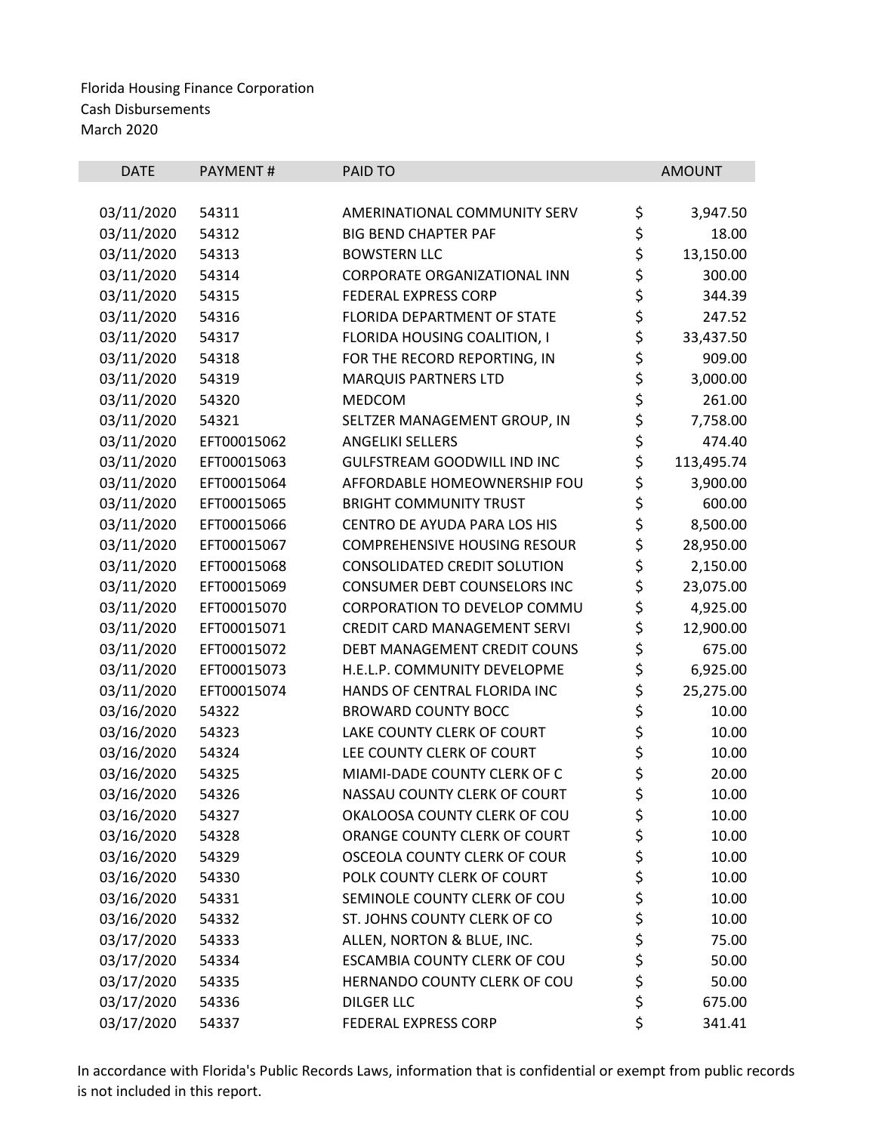| <b>DATE</b> | <b>PAYMENT#</b> | PAID TO                             |          | <b>AMOUNT</b> |
|-------------|-----------------|-------------------------------------|----------|---------------|
|             |                 |                                     |          |               |
| 03/11/2020  | 54311           | AMERINATIONAL COMMUNITY SERV        | \$       | 3,947.50      |
| 03/11/2020  | 54312           | <b>BIG BEND CHAPTER PAF</b>         | \$       | 18.00         |
| 03/11/2020  | 54313           | <b>BOWSTERN LLC</b>                 | \$       | 13,150.00     |
| 03/11/2020  | 54314           | CORPORATE ORGANIZATIONAL INN        | \$       | 300.00        |
| 03/11/2020  | 54315           | <b>FEDERAL EXPRESS CORP</b>         | \$<br>\$ | 344.39        |
| 03/11/2020  | 54316           | FLORIDA DEPARTMENT OF STATE         |          | 247.52        |
| 03/11/2020  | 54317           | FLORIDA HOUSING COALITION, I        | \$       | 33,437.50     |
| 03/11/2020  | 54318           | FOR THE RECORD REPORTING, IN        | \$<br>\$ | 909.00        |
| 03/11/2020  | 54319           | <b>MARQUIS PARTNERS LTD</b>         |          | 3,000.00      |
| 03/11/2020  | 54320           | MEDCOM                              | \$       | 261.00        |
| 03/11/2020  | 54321           | SELTZER MANAGEMENT GROUP, IN        | \$       | 7,758.00      |
| 03/11/2020  | EFT00015062     | <b>ANGELIKI SELLERS</b>             | \$       | 474.40        |
| 03/11/2020  | EFT00015063     | <b>GULFSTREAM GOODWILL IND INC</b>  | \$       | 113,495.74    |
| 03/11/2020  | EFT00015064     | AFFORDABLE HOMEOWNERSHIP FOU        | \$       | 3,900.00      |
| 03/11/2020  | EFT00015065     | <b>BRIGHT COMMUNITY TRUST</b>       | \$       | 600.00        |
| 03/11/2020  | EFT00015066     | CENTRO DE AYUDA PARA LOS HIS        | \$       | 8,500.00      |
| 03/11/2020  | EFT00015067     | <b>COMPREHENSIVE HOUSING RESOUR</b> | \$       | 28,950.00     |
| 03/11/2020  | EFT00015068     | <b>CONSOLIDATED CREDIT SOLUTION</b> | \$       | 2,150.00      |
| 03/11/2020  | EFT00015069     | CONSUMER DEBT COUNSELORS INC        | \$       | 23,075.00     |
| 03/11/2020  | EFT00015070     | CORPORATION TO DEVELOP COMMU        | \$       | 4,925.00      |
| 03/11/2020  | EFT00015071     | CREDIT CARD MANAGEMENT SERVI        | \$       | 12,900.00     |
| 03/11/2020  | EFT00015072     | DEBT MANAGEMENT CREDIT COUNS        | \$       | 675.00        |
| 03/11/2020  | EFT00015073     | H.E.L.P. COMMUNITY DEVELOPME        | \$       | 6,925.00      |
| 03/11/2020  | EFT00015074     | HANDS OF CENTRAL FLORIDA INC        | \$       | 25,275.00     |
| 03/16/2020  | 54322           | <b>BROWARD COUNTY BOCC</b>          | \$       | 10.00         |
| 03/16/2020  | 54323           | LAKE COUNTY CLERK OF COURT          | \$       | 10.00         |
| 03/16/2020  | 54324           | LEE COUNTY CLERK OF COURT           |          | 10.00         |
| 03/16/2020  | 54325           | MIAMI-DADE COUNTY CLERK OF C        | \$<br>\$ | 20.00         |
| 03/16/2020  | 54326           | NASSAU COUNTY CLERK OF COURT        | \$       | 10.00         |
| 03/16/2020  | 54327           | OKALOOSA COUNTY CLERK OF COU        | \$       | 10.00         |
| 03/16/2020  | 54328           | ORANGE COUNTY CLERK OF COURT        | \$       | 10.00         |
| 03/16/2020  | 54329           | OSCEOLA COUNTY CLERK OF COUR        | \$       | 10.00         |
| 03/16/2020  | 54330           | POLK COUNTY CLERK OF COURT          | \$       | 10.00         |
| 03/16/2020  | 54331           | SEMINOLE COUNTY CLERK OF COU        | \$       | 10.00         |
| 03/16/2020  | 54332           | ST. JOHNS COUNTY CLERK OF CO        | \$       | 10.00         |
| 03/17/2020  | 54333           | ALLEN, NORTON & BLUE, INC.          |          | 75.00         |
| 03/17/2020  | 54334           | ESCAMBIA COUNTY CLERK OF COU        | \$<br>\$ | 50.00         |
| 03/17/2020  | 54335           | HERNANDO COUNTY CLERK OF COU        | \$       | 50.00         |
| 03/17/2020  | 54336           | <b>DILGER LLC</b>                   | \$       | 675.00        |
| 03/17/2020  | 54337           | FEDERAL EXPRESS CORP                | \$       | 341.41        |
|             |                 |                                     |          |               |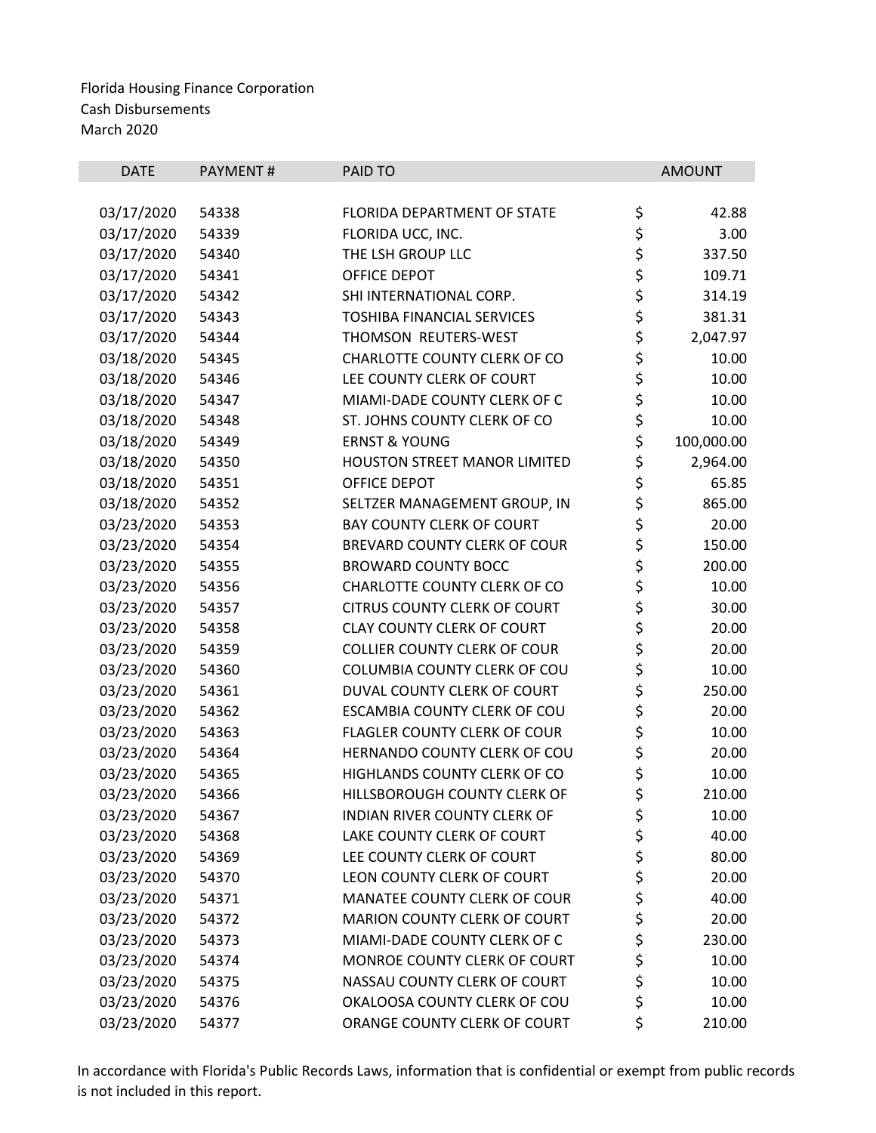| <b>DATE</b> | <b>PAYMENT#</b> | PAID TO                             |          | <b>AMOUNT</b> |
|-------------|-----------------|-------------------------------------|----------|---------------|
|             |                 |                                     |          |               |
| 03/17/2020  | 54338           | FLORIDA DEPARTMENT OF STATE         | \$       | 42.88         |
| 03/17/2020  | 54339           | FLORIDA UCC, INC.                   | \$       | 3.00          |
| 03/17/2020  | 54340           | THE LSH GROUP LLC                   |          | 337.50        |
| 03/17/2020  | 54341           | OFFICE DEPOT                        | ややす      | 109.71        |
| 03/17/2020  | 54342           | SHI INTERNATIONAL CORP.             |          | 314.19        |
| 03/17/2020  | 54343           | <b>TOSHIBA FINANCIAL SERVICES</b>   |          | 381.31        |
| 03/17/2020  | 54344           | THOMSON REUTERS-WEST                | \$       | 2,047.97      |
| 03/18/2020  | 54345           | CHARLOTTE COUNTY CLERK OF CO        | \$<br>\$ | 10.00         |
| 03/18/2020  | 54346           | LEE COUNTY CLERK OF COURT           |          | 10.00         |
| 03/18/2020  | 54347           | MIAMI-DADE COUNTY CLERK OF C        | \$       | 10.00         |
| 03/18/2020  | 54348           | ST. JOHNS COUNTY CLERK OF CO        | \$       | 10.00         |
| 03/18/2020  | 54349           | <b>ERNST &amp; YOUNG</b>            | \$<br>\$ | 100,000.00    |
| 03/18/2020  | 54350           | <b>HOUSTON STREET MANOR LIMITED</b> |          | 2,964.00      |
| 03/18/2020  | 54351           | OFFICE DEPOT                        | \$       | 65.85         |
| 03/18/2020  | 54352           | SELTZER MANAGEMENT GROUP, IN        |          | 865.00        |
| 03/23/2020  | 54353           | <b>BAY COUNTY CLERK OF COURT</b>    | \$\$\$\$ | 20.00         |
| 03/23/2020  | 54354           | BREVARD COUNTY CLERK OF COUR        |          | 150.00        |
| 03/23/2020  | 54355           | <b>BROWARD COUNTY BOCC</b>          |          | 200.00        |
| 03/23/2020  | 54356           | CHARLOTTE COUNTY CLERK OF CO        | \$       | 10.00         |
| 03/23/2020  | 54357           | <b>CITRUS COUNTY CLERK OF COURT</b> | \$<br>\$ | 30.00         |
| 03/23/2020  | 54358           | <b>CLAY COUNTY CLERK OF COURT</b>   |          | 20.00         |
| 03/23/2020  | 54359           | <b>COLLIER COUNTY CLERK OF COUR</b> |          | 20.00         |
| 03/23/2020  | 54360           | COLUMBIA COUNTY CLERK OF COU        | \$\$\$   | 10.00         |
| 03/23/2020  | 54361           | DUVAL COUNTY CLERK OF COURT         |          | 250.00        |
| 03/23/2020  | 54362           | ESCAMBIA COUNTY CLERK OF COU        | \$       | 20.00         |
| 03/23/2020  | 54363           | FLAGLER COUNTY CLERK OF COUR        | \$       | 10.00         |
| 03/23/2020  | 54364           | HERNANDO COUNTY CLERK OF COU        | \$       | 20.00         |
| 03/23/2020  | 54365           | HIGHLANDS COUNTY CLERK OF CO        | \$       | 10.00         |
| 03/23/2020  | 54366           | HILLSBOROUGH COUNTY CLERK OF        | \$       | 210.00        |
| 03/23/2020  | 54367           | INDIAN RIVER COUNTY CLERK OF        | \$       | 10.00         |
| 03/23/2020  | 54368           | LAKE COUNTY CLERK OF COURT          | \$       | 40.00         |
| 03/23/2020  | 54369           | LEE COUNTY CLERK OF COURT           | \$       | 80.00         |
| 03/23/2020  | 54370           | LEON COUNTY CLERK OF COURT          | \$       | 20.00         |
| 03/23/2020  | 54371           | MANATEE COUNTY CLERK OF COUR        | \$<br>\$ | 40.00         |
| 03/23/2020  | 54372           | MARION COUNTY CLERK OF COURT        |          | 20.00         |
| 03/23/2020  | 54373           | MIAMI-DADE COUNTY CLERK OF C        | \$       | 230.00        |
| 03/23/2020  | 54374           | MONROE COUNTY CLERK OF COURT        | \$       | 10.00         |
| 03/23/2020  | 54375           | NASSAU COUNTY CLERK OF COURT        | \$       | 10.00         |
| 03/23/2020  | 54376           | OKALOOSA COUNTY CLERK OF COU        | \$       | 10.00         |
| 03/23/2020  | 54377           | ORANGE COUNTY CLERK OF COURT        | \$       | 210.00        |